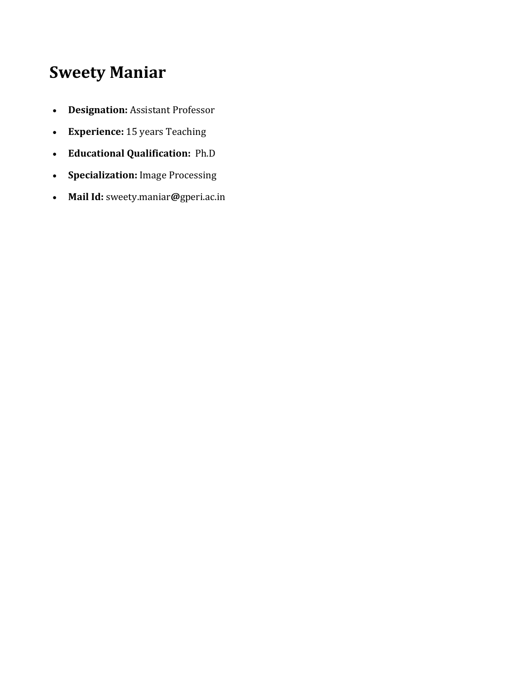## **Sweety Maniar**

- **Designation:** Assistant Professor
- **Experience:** 15 years Teaching
- **Educational Qualification:** Ph.D
- **Specialization:** Image Processing
- **Mail Id:** sweety.maniar**@**gperi.ac.in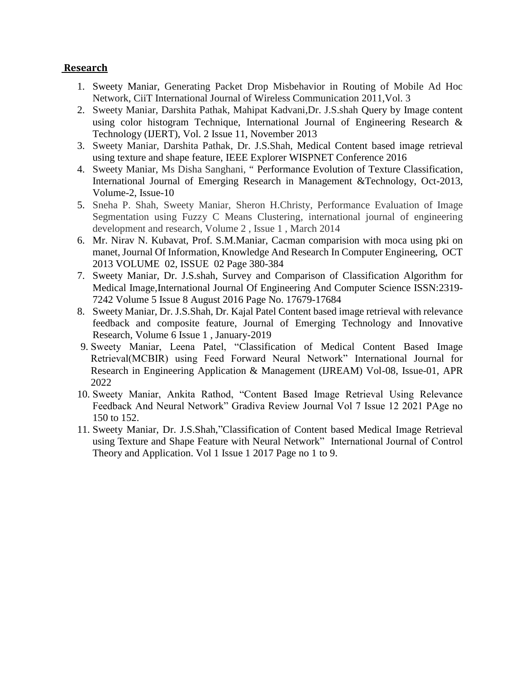## **[Research](https://gperi.ac.in/electrical.php#mapatelOne)**

- 1. Sweety Maniar, Generating Packet Drop Misbehavior in Routing of Mobile Ad Hoc Network, CiiT International Journal of Wireless Communication 2011,Vol. 3
- 2. Sweety Maniar, Darshita Pathak, Mahipat Kadvani,Dr. J.S.shah Query by Image content using color histogram Technique, International Journal of Engineering Research & Technology (IJERT), Vol. 2 Issue 11, November 2013
- 3. Sweety Maniar, Darshita Pathak, Dr. J.S.Shah, Medical Content based image retrieval using texture and shape feature, IEEE Explorer WISPNET Conference 2016
- 4. Sweety Maniar, Ms Disha Sanghani, " Performance Evolution of Texture Classification, International Journal of Emerging Research in Management &Technology, Oct-2013, Volume-2, Issue-10
- 5. Sneha P. Shah, Sweety Maniar, Sheron H.Christy, Performance Evaluation of Image Segmentation using Fuzzy C Means Clustering, international journal of engineering development and research, Volume 2 , Issue 1 , March 2014
- 6. Mr. Nirav N. Kubavat, Prof. S.M.Maniar, Cacman comparision with moca using pki on manet, Journal Of Information, Knowledge And Research In Computer Engineering, OCT 2013 VOLUME 02, ISSUE 02 Page 380-384
- 7. Sweety Maniar, Dr. J.S.shah, Survey and Comparison of Classification Algorithm for Medical Image,International Journal Of Engineering And Computer Science ISSN:2319- 7242 Volume 5 Issue 8 August 2016 Page No. 17679-17684
- 8. Sweety Maniar, Dr. J.S.Shah, Dr. Kajal Patel Content based image retrieval with relevance feedback and composite feature, Journal of Emerging Technology and Innovative Research, Volume 6 Issue 1 , January-2019
- 9. Sweety Maniar, Leena Patel, "Classification of Medical Content Based Image Retrieval(MCBIR) using Feed Forward Neural Network" International Journal for Research in Engineering Application & Management (IJREAM) Vol-08, Issue-01, APR 2022
- 10. Sweety Maniar, Ankita Rathod, "Content Based Image Retrieval Using Relevance Feedback And Neural Network" Gradiva Review Journal Vol 7 Issue 12 2021 PAge no 150 to 152.
- 11. Sweety Maniar, Dr. J.S.Shah,"Classification of Content based Medical Image Retrieval using Texture and Shape Feature with Neural Network" International Journal of Control Theory and Application. Vol 1 Issue 1 2017 Page no 1 to 9.